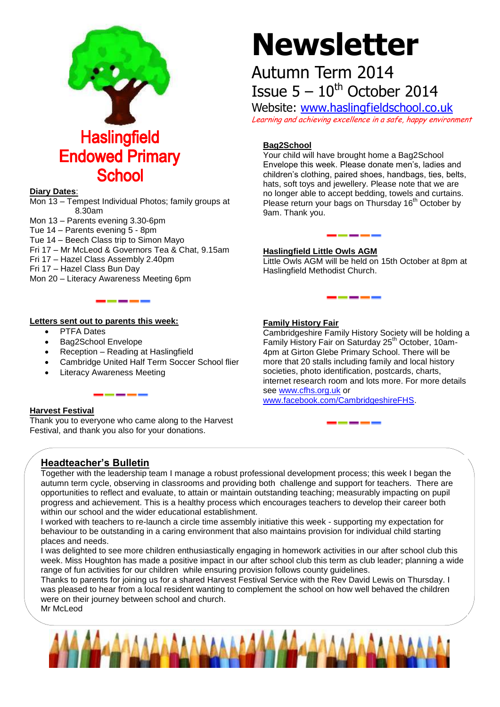

#### **Diary Dates**:

Mon 13 – Tempest Individual Photos; family groups at 8.30am Mon 13 – Parents evening 3.30-6pm Tue 14 – Parents evening 5 - 8pm

Tue 14 – Beech Class trip to Simon Mayo

- Fri 17 Mr McLeod & Governors Tea & Chat, 9.15am
- Fri 17 Hazel Class Assembly 2.40pm
- Fri 17 Hazel Class Bun Day
- Mon 20 Literacy Awareness Meeting 6pm

#### **Letters sent out to parents this week:**

- PTFA Dates
- Bag2School Envelope
- Reception Reading at Haslingfield
- Cambridge United Half Term Soccer School flier
- Literacy Awareness Meeting

#### **Harvest Festival**

Thank you to everyone who came along to the Harvest Festival, and thank you also for your donations.

# **Newsletter**

## Autumn Term 2014 Issue  $5 - 10^{th}$  October 2014

Website: [www.haslingfieldschool.co.uk](http://www.haslingfieldschool.co.uk/) Learning and achieving excellence in a safe, happy environment

#### **Bag2School**

Your child will have brought home a Bag2School Envelope this week. Please donate men's, ladies and children's clothing, paired shoes, handbags, ties, belts, hats, soft toys and jewellery. Please note that we are no longer able to accept bedding, towels and curtains. Please return your bags on Thursday 16<sup>th</sup> October by 9am. Thank you.

#### **Haslingfield Little Owls AGM**

Little Owls AGM will be held on 15th October at 8pm at Haslingfield Methodist Church.

#### **Family History Fair**

Cambridgeshire Family History Society will be holding a Family History Fair on Saturday 25<sup>th</sup> October, 10am-4pm at Girton Glebe Primary School. There will be more that 20 stalls including family and local history societies, photo identification, postcards, charts, internet research room and lots more. For more details see [www.cfhs.org.uk](http://www.cfhs.org.uk/) or [www.facebook.com/CambridgeshireFHS.](http://www.facebook.com/CambridgeshireFHS)

### **Headteacher's Bulletin**

Together with the leadership team I manage a robust professional development process; this week I began the autumn term cycle, observing in classrooms and providing both challenge and support for teachers. There are opportunities to reflect and evaluate, to attain or maintain outstanding teaching; measurably impacting on pupil progress and achievement. This is a healthy process which encourages teachers to develop their career both within our school and the wider educational establishment.

I worked with teachers to re-launch a circle time assembly initiative this week - supporting my expectation for behaviour to be outstanding in a caring environment that also maintains provision for individual child starting places and needs.

I was delighted to see more children enthusiastically engaging in homework activities in our after school club this week. Miss Houghton has made a positive impact in our after school club this term as club leader; planning a wide range of fun activities for our children while ensuring provision follows county guidelines.

Thanks to parents for joining us for a shared Harvest Festival Service with the Rev David Lewis on Thursday. I was pleased to hear from a local resident wanting to complement the school on how well behaved the children were on their journey between school and church. Mr McLeod